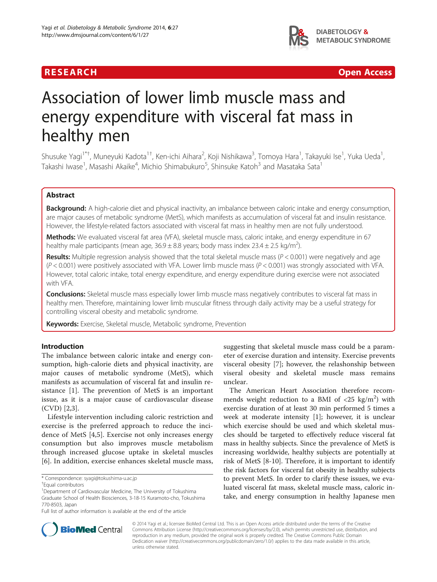## R E S EAR CH Open Access



# Association of lower limb muscle mass and energy expenditure with visceral fat mass in healthy men

Shusuke Yagi<sup>1\*†</sup>, Muneyuki Kadota<sup>1†</sup>, Ken-ichi Aihara<sup>2</sup>, Koji Nishikawa<sup>3</sup>, Tomoya Hara<sup>1</sup>, Takayuki Ise<sup>1</sup>, Yuka Ueda<sup>1</sup> , Takashi Iwase<sup>1</sup>, Masashi Akaike<sup>4</sup>, Michio Shimabukuro<sup>5</sup>, Shinsuke Katoh<sup>3</sup> and Masataka Sata<sup>1</sup>

## Abstract

Background: A high-calorie diet and physical inactivity, an imbalance between caloric intake and energy consumption, are major causes of metabolic syndrome (MetS), which manifests as accumulation of visceral fat and insulin resistance. However, the lifestyle-related factors associated with visceral fat mass in healthy men are not fully understood.

Methods: We evaluated visceral fat area (VFA), skeletal muscle mass, caloric intake, and energy expenditure in 67 healthy male participants (mean age, 36.9  $\pm$  8.8 years; body mass index 23.4  $\pm$  2.5 kg/m<sup>2</sup>).

**Results:** Multiple regression analysis showed that the total skeletal muscle mass ( $P < 0.001$ ) were negatively and age  $(P < 0.001)$  were positively associated with VFA. Lower limb muscle mass  $(P < 0.001)$  was strongly associated with VFA. However, total caloric intake, total energy expenditure, and energy expenditure during exercise were not associated with VFA.

**Conclusions:** Skeletal muscle mass especially lower limb muscle mass negatively contributes to visceral fat mass in healthy men. Therefore, maintaining lower limb muscular fitness through daily activity may be a useful strategy for controlling visceral obesity and metabolic syndrome.

Keywords: Exercise, Skeletal muscle, Metabolic syndrome, Prevention

## Introduction

The imbalance between caloric intake and energy consumption, high-calorie diets and physical inactivity, are major causes of metabolic syndrome (MetS), which manifests as accumulation of visceral fat and insulin resistance [\[1](#page-4-0)]. The prevention of MetS is an important issue, as it is a major cause of cardiovascular disease (CVD) [\[2](#page-4-0),[3\]](#page-4-0).

Lifestyle intervention including caloric restriction and exercise is the preferred approach to reduce the incidence of MetS [[4,5\]](#page-4-0). Exercise not only increases energy consumption but also improves muscle metabolism through increased glucose uptake in skeletal muscles [[6\]](#page-4-0). In addition, exercise enhances skeletal muscle mass,

suggesting that skeletal muscle mass could be a parameter of exercise duration and intensity. Exercise prevents visceral obesity [[7\]](#page-4-0); however, the relashonship between viseral obesity and skeletal muscle mass remains unclear.

The American Heart Association therefore recommends weight reduction to a BMI of  $\langle 25 \text{ kg/m}^2 \rangle$  with exercise duration of at least 30 min performed 5 times a week at moderate intensity [[1\]](#page-4-0); however, it is unclear which exercise should be used and which skeletal muscles should be targeted to effectively reduce visceral fat mass in healthy subjects. Since the prevalence of MetS is increasing worldwide, healthy subjects are potentially at risk of MetS [[8-10](#page-4-0)]. Therefore, it is important to identify the risk factors for visceral fat obesity in healthy subjects to prevent MetS. In order to clarify these issues, we evaluated visceral fat mass, skeletal muscle mass, caloric intake, and energy consumption in healthy Japanese men



© 2014 Yagi et al.; licensee BioMed Central Ltd. This is an Open Access article distributed under the terms of the Creative Commons Attribution License [\(http://creativecommons.org/licenses/by/2.0\)](http://creativecommons.org/licenses/by/2.0), which permits unrestricted use, distribution, and reproduction in any medium, provided the original work is properly credited. The Creative Commons Public Domain Dedication waiver [\(http://creativecommons.org/publicdomain/zero/1.0/](http://creativecommons.org/publicdomain/zero/1.0/)) applies to the data made available in this article, unless otherwise stated.

<sup>\*</sup> Correspondence: [syagi@tokushima-u.ac.jp](mailto:syagi@tokushima-u.ac.jp) †

Equal contributors

<sup>&</sup>lt;sup>1</sup>Department of Cardiovascular Medicine, The University of Tokushima Graduate School of Health Biosciences, 3-18-15 Kuramoto-cho, Tokushima 770-8503, Japan

Full list of author information is available at the end of the article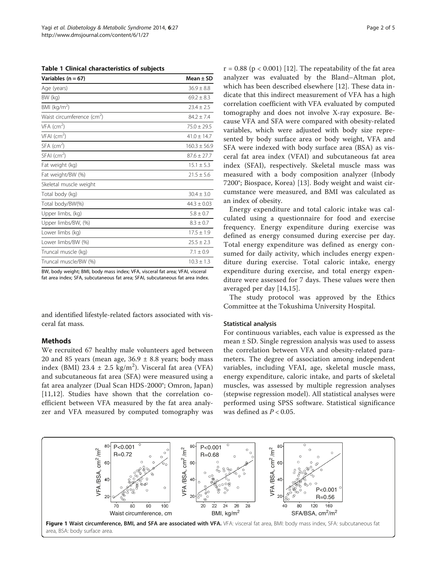<span id="page-1-0"></span>Table 1 Clinical characteristics of subjects

| Variables (n = 67)                     | Mean $\pm$ SD    |
|----------------------------------------|------------------|
| Age (years)                            | $36.9 \pm 8.8$   |
| BW (kg)                                | $69.2 + 8.3$     |
| BMI ( $kg/m2$ )                        | $23.4 \pm 2.5$   |
| Waist circumference (cm <sup>2</sup> ) | $84.7 + 7.4$     |
| $VFA$ (cm <sup>2</sup> )               | $75.0 + 29.5$    |
| $VFAI$ (cm <sup>2</sup> )              | $41.0 + 14.7$    |
| $SFA$ (cm <sup>2</sup> )               | $160.3 \pm 56.9$ |
| $SFAI$ (cm <sup>2</sup> )              | $87.6 \pm 27.7$  |
| Fat weight (kg)                        | $15.1 \pm 5.3$   |
| Fat weight/BW (%)                      | $21.5 \pm 5.6$   |
| Skeletal muscle weight                 |                  |
| Total body (kg)                        | $30.4 \pm 3.0$   |
| Total body/BW(%)                       | $44.3 + 0.03$    |
| Upper limbs, (kg)                      | $5.8 \pm 0.7$    |
| Upper limbs/BW, (%)                    | $8.3 \pm 0.7$    |
| Lower limbs (kg)                       | $17.5 \pm 1.9$   |
| Lower limbs/BW (%)                     | $25.5 \pm 2.3$   |
| Truncal muscle (kg)                    | $7.1 \pm 0.9$    |
| Truncal muscle/BW (%)                  | $10.3 \pm 1.3$   |

BW, body weight; BMI, body mass index; VFA, visceral fat area; VFAI, visceral fat area index; SFA, subcutaneous fat area; SFAI, subcutaneous fat area index.

and identified lifestyle-related factors associated with visceral fat mass.

## Methods

We recruited 67 healthy male volunteers aged between 20 and 85 years (mean age,  $36.9 \pm 8.8$  years; body mass index (BMI)  $23.4 \pm 2.5$  kg/m<sup>2</sup>). Visceral fat area (VFA) and subcutaneous fat area (SFA) were measured using a fat area analyzer (Dual Scan HDS-2000®; Omron, Japan) [[11,12](#page-4-0)]. Studies have shown that the correlation coefficient between VFA measured by the fat area analyzer and VFA measured by computed tomography was  $r = 0.88$  ( $p < 0.001$ ) [\[12](#page-4-0)]. The repeatability of the fat area analyzer was evaluated by the Bland–Altman plot, which has been described elsewhere [[12\]](#page-4-0). These data indicate that this indirect measurement of VFA has a high correlation coefficient with VFA evaluated by computed tomography and does not involve X-ray exposure. Because VFA and SFA were compared with obesity-related variables, which were adjusted with body size represented by body surface area or body weight, VFA and SFA were indexed with body surface area (BSA) as visceral fat area index (VFAI) and subcutaneous fat area index (SFAI), respectively. Skeletal muscle mass was measured with a body composition analyzer (Inbody 7200®; Biospace, Korea) [[13\]](#page-4-0). Body weight and waist circumstance were measured, and BMI was calculated as an index of obesity.

Energy expenditure and total caloric intake was calculated using a questionnaire for food and exercise frequency. Energy expenditure during exercise was defined as energy consumed during exercise per day. Total energy expenditure was defined as energy consumed for daily activity, which includes energy expenditure during exercise. Total caloric intake, energy expenditure during exercise, and total energy expenditure were assessed for 7 days. These values were then averaged per day [[14,15](#page-4-0)].

The study protocol was approved by the Ethics Committee at the Tokushima University Hospital.

#### Statistical analysis

For continuous variables, each value is expressed as the mean  $\pm$  SD. Single regression analysis was used to assess the correlation between VFA and obesity-related parameters. The degree of association among independent variables, including VFAI, age, skeletal muscle mass, energy expenditure, caloric intake, and parts of skeletal muscles, was assessed by multiple regression analyses (stepwise regression model). All statistical analyses were performed using SPSS software. Statistical significance was defined as  $P < 0.05$ .

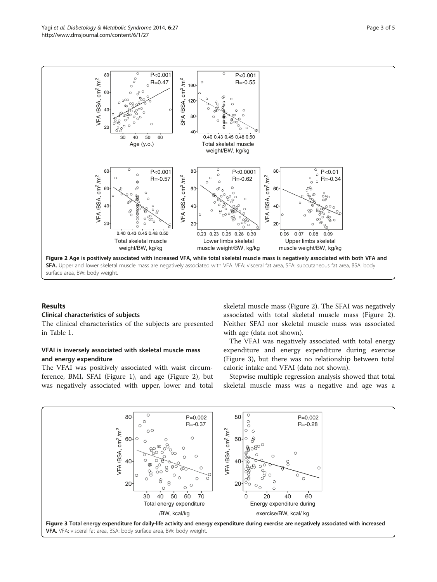

## Results

## Clinical characteristics of subjects

The clinical characteristics of the subjects are presented in Table [1.](#page-1-0)

## VFAI is inversely associated with skeletal muscle mass and energy expenditure

The VFAI was positively associated with waist circumference, BMI, SFAI (Figure [1\)](#page-1-0), and age (Figure 2), but was negatively associated with upper, lower and total

skeletal muscle mass (Figure 2). The SFAI was negatively associated with total skeletal muscle mass (Figure 2). Neither SFAI nor skeletal muscle mass was associated with age (data not shown).

The VFAI was negatively associated with total energy expenditure and energy expenditure during exercise (Figure 3), but there was no relationship between total caloric intake and VFAI (data not shown).

Stepwise multiple regression analysis showed that total skeletal muscle mass was a negative and age was a

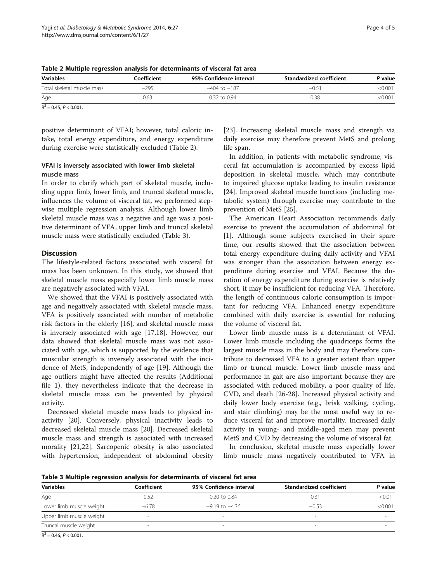| <b>Variables</b>           | Coefficient | 95% Confidence interval | Standardized coefficient | P value |
|----------------------------|-------------|-------------------------|--------------------------|---------|
| Total skeletal muscle mass | $-295$      | $-404$ to $-187$        | $-0.5^{\circ}$           | <0.001  |
| Age                        | 0.63        | $0.32$ to $0.94$        | 0.38                     | <0.001  |

 $R^2 = 0.45$ ,  $P \le 0.001$ .

positive determinant of VFAI; however, total caloric intake, total energy expenditure, and energy expenditure during exercise were statistically excluded (Table 2).

## VFAI is inversely associated with lower limb skeletal muscle mass

In order to clarify which part of skeletal muscle, including upper limb, lower limb, and truncal skeletal muscle, influences the volume of visceral fat, we performed stepwise multiple regression analysis. Although lower limb skeletal muscle mass was a negative and age was a positive determinant of VFA, upper limb and truncal skeletal muscle mass were statistically excluded (Table 3).

## **Discussion**

The lifestyle-related factors associated with visceral fat mass has been unknown. In this study, we showed that skeletal muscle mass especially lower limb muscle mass are negatively associated with VFAI.

We showed that the VFAI is positively associated with age and negatively associated with skeletal muscle mass. VFA is positively associated with number of metabolic risk factors in the elderly [[16](#page-4-0)], and skeletal muscle mass is inversely associated with age [[17,18\]](#page-4-0). However, our data showed that skeletal muscle mass was not associated with age, which is supported by the evidence that muscular strength is inversely associated with the incidence of MetS, independently of age [[19\]](#page-4-0). Although the age outliers might have affected the results (Additional file [1\)](#page-4-0), they nevertheless indicate that the decrease in skeletal muscle mass can be prevented by physical activity.

Decreased skeletal muscle mass leads to physical inactivity [[20\]](#page-4-0). Conversely, physical inactivity leads to decreased skeletal muscle mass [\[20\]](#page-4-0). Decreased skeletal muscle mass and strength is associated with increased morality [\[21,22](#page-4-0)]. Sarcopenic obesity is also associated with hypertension, independent of abdominal obesity [[23\]](#page-4-0). Increasing skeletal muscle mass and strength via daily exercise may therefore prevent MetS and prolong life span.

In addition, in patients with metabolic syndrome, visceral fat accumulation is accompanied by excess lipid deposition in skeletal muscle, which may contribute to impaired glucose uptake leading to insulin resistance [[24\]](#page-4-0). Improved skeletal muscle functions (including metabolic system) through exercise may contribute to the prevention of MetS [\[25](#page-4-0)].

The American Heart Association recommends daily exercise to prevent the accumulation of abdominal fat [[1\]](#page-4-0). Although some subjects exercised in their spare time, our results showed that the association between total energy expenditure during daily activity and VFAI was stronger than the association between energy expenditure during exercise and VFAI. Because the duration of energy expenditure during exercise is relatively short, it may be insufficient for reducing VFA. Therefore, the length of continuous caloric consumption is important for reducing VFA. Enhanced energy expenditure combined with daily exercise is essential for reducing the volume of visceral fat.

Lower limb muscle mass is a determinant of VFAI. Lower limb muscle including the quadriceps forms the largest muscle mass in the body and may therefore contribute to decreased VFA to a greater extent than upper limb or truncal muscle. Lower limb muscle mass and performance in gait are also important because they are associated with reduced mobility, a poor quality of life, CVD, and death [\[26](#page-4-0)-[28\]](#page-4-0). Increased physical activity and daily lower body exercise (e.g., brisk walking, cycling, and stair climbing) may be the most useful way to reduce visceral fat and improve mortality. Increased daily activity in young- and middle-aged men may prevent MetS and CVD by decreasing the volume of visceral fat.

In conclusion, skeletal muscle mass especially lower limb muscle mass negatively contributed to VFA in

Table 3 Multiple regression analysis for determinants of visceral fat area

| <b>Variables</b>         | Coefficient | 95% Confidence interval | Standardized coefficient | P value |
|--------------------------|-------------|-------------------------|--------------------------|---------|
| Age                      | 0.52        | $0.20$ to $0.84$        | 0.31                     | < 0.01  |
| Lower limb muscle weight | $-6.78$     | $-9.19$ to $-4.36$      | $-0.53$                  | < 0.001 |
| Upper limb muscle weight | -           |                         |                          |         |
| Truncal muscle weight    |             |                         |                          |         |
|                          |             |                         |                          |         |

 $R^2$  = 0.46,  $P < 0.001$ .